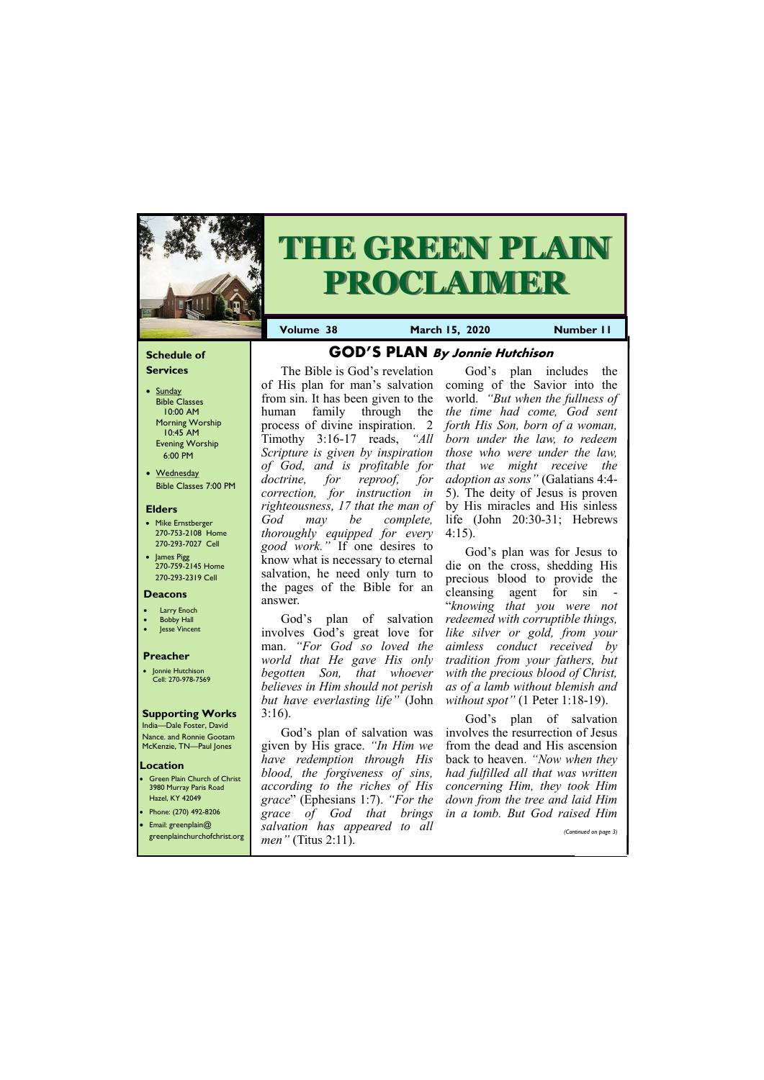#### **Schedule of Services**

- Sunday Bible Classes 10:00 AM Morning Worship 10:45 AM Evening Worship 6:00 PM
- Wednesday Bible Classes 7:00 PM

#### **Elders**

**Green Plain Church of Christ** 3980 Murray Paris Road Hazel, KY 42049 • Phone: (270) 492-8206

- Mike Ernstberger 270-753-2108 Home 270-293-7027 Cell
- James Pigg 270-759-2145 Home 270-293-2319 Cell



# **THE GREEN PLAIN PROCLAIMER**

**Volume 38 March 15, 2020 Number 11** 

#### **Location**

#### **Deacons**

- **Larry Enoch**
- **Bobby Hall**
- **Jesse Vincent**

#### **Preacher**

• Jonnie Hutchison Cell: 270-978-7569

#### **Supporting Works** India—Dale Foster, David

Nance. and Ronnie Gootam McKenzie, TN—Paul Jones

# **GOD'S PLAN By Jonnie Hutchison**

The Bible is God's revelation of His plan for man's salvation from sin. It has been given to the human family through the process of divine inspiration. 2 Timothy 3:16-17 reads, *"All Scripture is given by inspiration of God, and is profitable for doctrine, for reproof, for correction, for instruction in righteousness, 17 that the man of God may be complete, thoroughly equipped for every good work."* If one desires to know what is necessary to eternal salvation, he need only turn to the pages of the Bible for an answer.

God's plan of salvation involves God's great love for man. *"For God so loved the world that He gave His only begotten Son, that whoever believes in Him should not perish but have everlasting life"* (John 3:16).

| • Email: greenplain@<br>greenplainchurchofchrist.org | $\sim$<br>$\sim$ $\cdot$<br>salvation has appeared to all<br><i>men</i> " (Titus 2:11). |  | OUW MNW OINING MI W NOMIC, DIN OUW I WINCH IIMM<br>(Continued on page 3) |
|------------------------------------------------------|-----------------------------------------------------------------------------------------|--|--------------------------------------------------------------------------|
|                                                      |                                                                                         |  |                                                                          |

God's plan includes the coming of the Savior into the world. *"But when the fullness of the time had come, God sent forth His Son, born of a woman, born under the law, to redeem those who were under the law, that we might receive the adoption as sons"* (Galatians 4:4- 5). The deity of Jesus is proven by His miracles and His sinless life (John 20:30-31; Hebrews 4:15).

God's plan of salvation was given by His grace. *"In Him we have redemption through His blood, the forgiveness of sins, according to the riches of His grace*" (Ephesians 1:7). *"For the grace of God that brings in a tomb. But God raised Him* 

God's plan was for Jesus to die on the cross, shedding His precious blood to provide the cleansing agent for sin - "*knowing that you were not redeemed with corruptible things, like silver or gold, from your aimless conduct received by tradition from your fathers, but with the precious blood of Christ, as of a lamb without blemish and without spot"* (1 Peter 1:18-19).

God's plan of salvation involves the resurrection of Jesus from the dead and His ascension back to heaven. *"Now when they had fulfilled all that was written concerning Him, they took Him down from the tree and laid Him*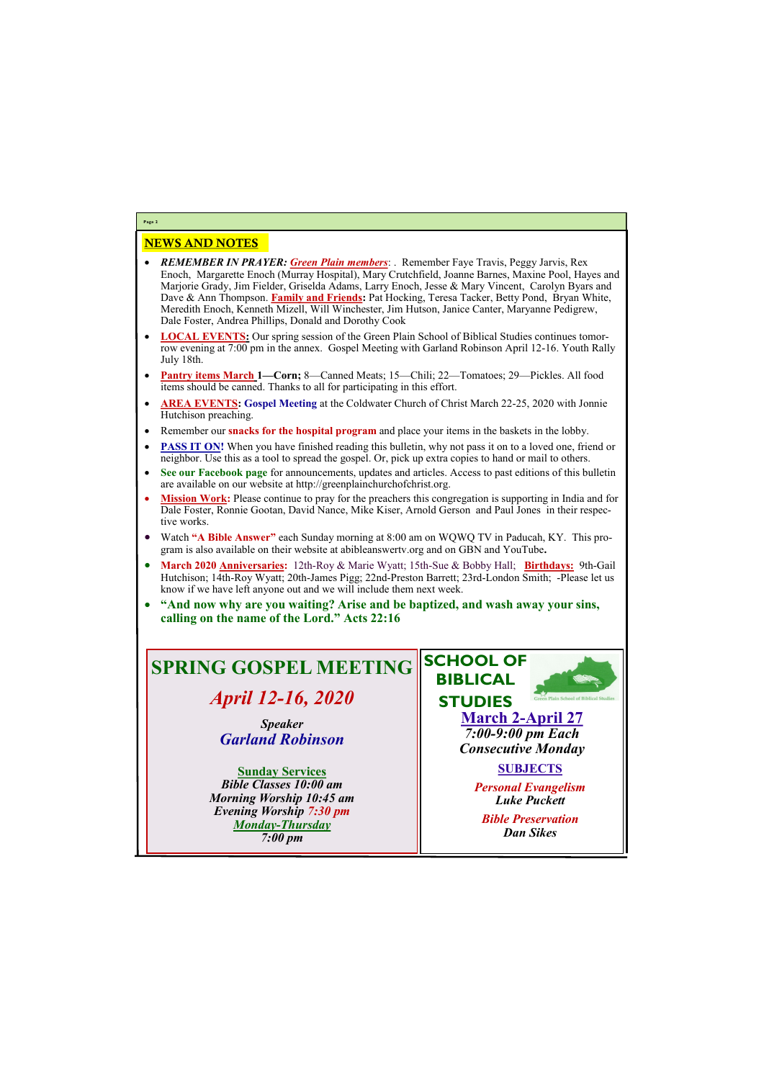### NEWS AND NOTES

- *REMEMBER IN PRAYER: Green Plain members*: . Remember Faye Travis, Peggy Jarvis, Rex Enoch, Margarette Enoch (Murray Hospital), Mary Crutchfield, Joanne Barnes, Maxine Pool, Hayes and Marjorie Grady, Jim Fielder, Griselda Adams, Larry Enoch, Jesse & Mary Vincent, Carolyn Byars and Dave & Ann Thompson. **Family and Friends:** Pat Hocking, Teresa Tacker, Betty Pond, Bryan White, Meredith Enoch, Kenneth Mizell, Will Winchester, Jim Hutson, Janice Canter, Maryanne Pedigrew, Dale Foster, Andrea Phillips, Donald and Dorothy Cook
- **LOCAL EVENTS:** Our spring session of the Green Plain School of Biblical Studies continues tomorrow evening at 7:00 pm in the annex. Gospel Meeting with Garland Robinson April 12-16. Youth Rally July 18th.
- **Pantry items March 1—Corn;** 8—Canned Meats; 15—Chili; 22—Tomatoes; 29—Pickles. All food items should be canned. Thanks to all for participating in this effort.
- **AREA EVENTS: Gospel Meeting** at the Coldwater Church of Christ March 22-25, 2020 with Jonnie Hutchison preaching.
- Remember our **snacks for the hospital program** and place your items in the baskets in the lobby.
- **PASS IT ON!** When you have finished reading this bulletin, why not pass it on to a loved one, friend or neighbor. Use this as a tool to spread the gospel. Or, pick up extra copies to hand or mail to others.
- **See our Facebook page** for announcements, updates and articles. Access to past editions of this bulletin are available on our website at http://greenplainchurchofchrist.org.
- **Mission Work:** Please continue to pray for the preachers this congregation is supporting in India and for Dale Foster, Ronnie Gootan, David Nance, Mike Kiser, Arnold Gerson and Paul Jones in their respective works.
- Watch **"A Bible Answer"** each Sunday morning at 8:00 am on WQWQ TV in Paducah, KY. This program is also available on their website at abibleanswertv.org and on GBN and YouTube**.**
- **March 2020 Anniversaries:** 12th-Roy & Marie Wyatt; 15th-Sue & Bobby Hall; **Birthdays:** 9th-Gail Hutchison; 14th-Roy Wyatt; 20th-James Pigg; 22nd-Preston Barrett; 23rd-London Smith; -Please let us know if we have left anyone out and we will include them next week.
- **"And now why are you waiting? Arise and be baptized, and wash away your sins, calling on the name of the Lord." Acts 22:16**

**Page 2**

# **SPRING GOSPEL MEETING**

*April 12-16, 2020*

*Speaker Garland Robinson*

**Sunday Services** *Bible Classes 10:00 am Morning Worship 10:45 am Evening Worship 7:30 pm*



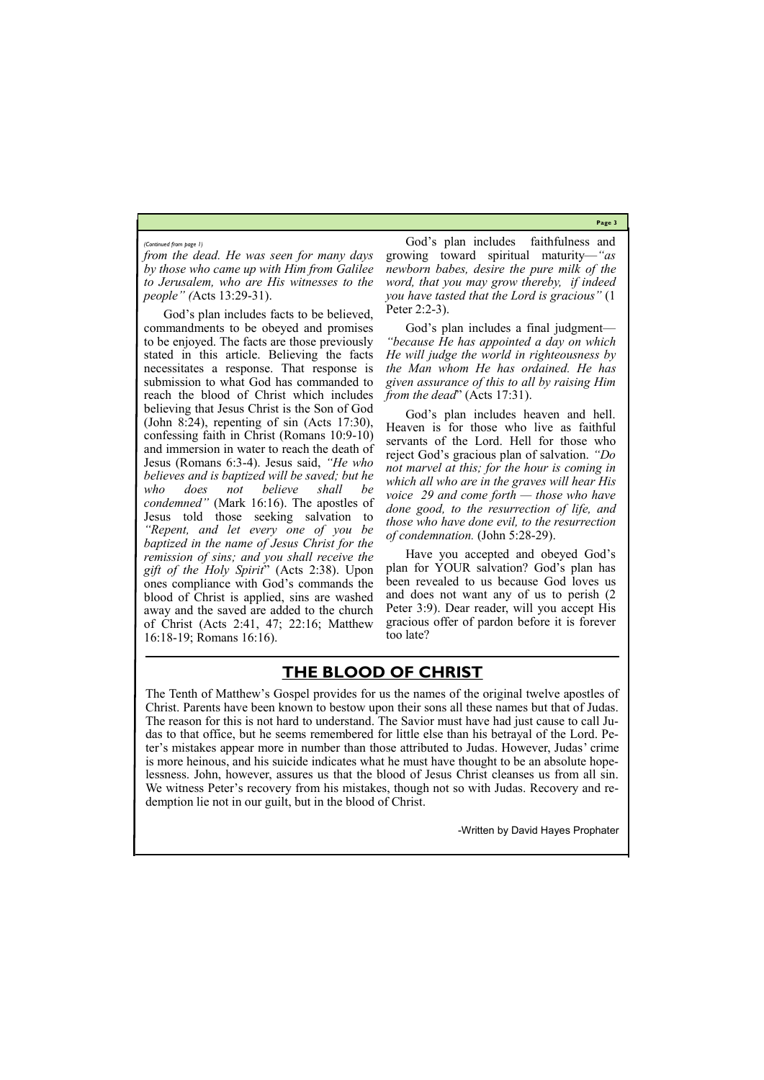**Page 3**

*from the dead. He was seen for many days by those who came up with Him from Galilee to Jerusalem, who are His witnesses to the people" (*Acts 13:29-31).

God's plan includes facts to be believed, commandments to be obeyed and promises to be enjoyed. The facts are those previously stated in this article. Believing the facts necessitates a response. That response is submission to what God has commanded to reach the blood of Christ which includes believing that Jesus Christ is the Son of God (John 8:24), repenting of sin (Acts 17:30), confessing faith in Christ (Romans 10:9-10) and immersion in water to reach the death of Jesus (Romans 6:3-4). Jesus said, *"He who believes and is baptized will be saved; but he who does not believe shall be condemned"* (Mark 16:16). The apostles of Jesus told those seeking salvation to *"Repent, and let every one of you be baptized in the name of Jesus Christ for the remission of sins; and you shall receive the gift of the Holy Spirit*" (Acts 2:38). Upon ones compliance with God's commands the blood of Christ is applied, sins are washed away and the saved are added to the church of Christ (Acts 2:41, 47; 22:16; Matthew 16:18-19; Romans 16:16).

God's plan includes a final judgment— *"because He has appointed a day on which He will judge the world in righteousness by the Man whom He has ordained. He has given assurance of this to all by raising Him from the dead*" (Acts 17:31).

God's plan includes faithfulness and growing toward spiritual maturity—*"as newborn babes, desire the pure milk of the word, that you may grow thereby, if indeed you have tasted that the Lord is gracious"* (1 Peter 2:2-3).

God's plan includes heaven and hell. Heaven is for those who live as faithful servants of the Lord. Hell for those who reject God's gracious plan of salvation. *"Do not marvel at this; for the hour is coming in which all who are in the graves will hear His voice 29 and come forth — those who have done good, to the resurrection of life, and those who have done evil, to the resurrection of condemnation.* (John 5:28-29).

Have you accepted and obeyed God's plan for YOUR salvation? God's plan has been revealed to us because God loves us and does not want any of us to perish (2 Peter 3:9). Dear reader, will you accept His gracious offer of pardon before it is forever too late?

#### *(Continued from page 1)*

The Tenth of Matthew's Gospel provides for us the names of the original twelve apostles of Christ. Parents have been known to bestow upon their sons all these names but that of Judas. The reason for this is not hard to understand. The Savior must have had just cause to call Judas to that office, but he seems remembered for little else than his betrayal of the Lord. Peter's mistakes appear more in number than those attributed to Judas. However, Judas' crime is more heinous, and his suicide indicates what he must have thought to be an absolute hopelessness. John, however, assures us that the blood of Jesus Christ cleanses us from all sin. We witness Peter's recovery from his mistakes, though not so with Judas. Recovery and redemption lie not in our guilt, but in the blood of Christ.

-Written by David Hayes Prophater

## **THE BLOOD OF CHRIST**